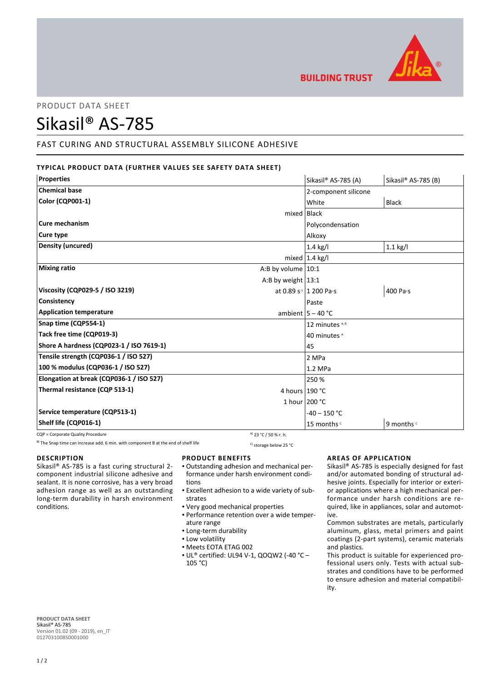

# PRODUCT DATA SHEET

# Sikasil® AS-785

# FAST CURING AND STRUCTURAL ASSEMBLY SILICONE ADHESIVE

# **TYPICAL PRODUCT DATA (FURTHER VALUES SEE SAFETY DATA SHEET)**

| <b>Properties</b>                           | Sikasil® AS-785 (A)       | Sikasil® AS-785 (B) |
|---------------------------------------------|---------------------------|---------------------|
| <b>Chemical base</b>                        | 2-component silicone      |                     |
| <b>Color (CQP001-1)</b>                     | White                     | <b>Black</b>        |
|                                             | mixed Black               |                     |
| Cure mechanism                              | Polycondensation          |                     |
| Cure type                                   | Alkoxy                    |                     |
| <b>Density (uncured)</b>                    | $1.4$ kg/l                | $1.1$ kg/l          |
|                                             | mixed $ 1.4 \text{ kg}/I$ |                     |
| <b>Mixing ratio</b><br>A:B by volume $10:1$ |                           |                     |
| A:B by weight $13:1$                        |                           |                     |
| Viscosity (CQP029-5 / ISO 3219)             | at 0.89 $s-1$ 1 200 Pa·s  | 400 Pa·s            |
| Consistency                                 | Paste                     |                     |
| <b>Application temperature</b>              | ambient $ 5 - 40$ °C      |                     |
| Snap time (CQP554-1)                        | 12 minutes <sup>A,B</sup> |                     |
| Tack free time (CQP019-3)                   | 40 minutes <sup>A</sup>   |                     |
| Shore A hardness (CQP023-1 / ISO 7619-1)    | 45                        |                     |
| Tensile strength (CQP036-1 / ISO 527)       | 2 MPa                     |                     |
| 100 % modulus (CQP036-1 / ISO 527)          | 1.2 MPa                   |                     |
| Elongation at break (CQP036-1 / ISO 527)    | 250 %                     |                     |
| Thermal resistance (CQP 513-1)              | 4 hours 190 °C            |                     |
|                                             | 1 hour $200 °C$           |                     |
| Service temperature (CQP513-1)              | $-40 - 150$ °C            |                     |
| Shelf life (CQP016-1)                       | 15 months c               | 9 months c          |

CQP = Corporate Quality Procedure  $\frac{a_0}{2}$  23 °C / 50 % r. h.

<sup>B)</sup> The Snap time can increase add. 6 min. with component B at the end of shelf life C) storage below 25 °C

## **DESCRIPTION**

Sikasil® AS-785 is a fast curing structural 2 component industrial silicone adhesive and sealant. It is none corrosive, has a very broad adhesion range as well as an outstanding long-term durability in harsh environment conditions.

## **PRODUCT BENEFITS**

- Outstanding adhesion and mechanical per-▪ formance under harsh environment conditions
- Excellent adhesion to a wide variety of sub-▪ strates
- Very good mechanical properties
- Performance retention over a wide temper-▪ ature range
- **.** Long-term durability
- **.** Low volatility
- Meets EOTA ETAG 002
- UL® certified: UL94 V-1, QOQW2 (-40 °C ▪ 105 °C)

## **AREAS OF APPLICATION**

Sikasil® AS-785 is especially designed for fast and/or automated bonding of structural adhesive joints. Especially for interior or exterior applications where a high mechanical performance under harsh conditions are required, like in appliances, solar and automotive.

Common substrates are metals, particularly aluminum, glass, metal primers and paint coatings (2-part systems), ceramic materials and plastics.

This product is suitable for experienced professional users only. Tests with actual substrates and conditions have to be performed to ensure adhesion and material compatibility.

**PRODUCT DATA SHEET** Sikasil® AS-785 Version 01.02 (09 - 2019), en\_IT 012703100850001000